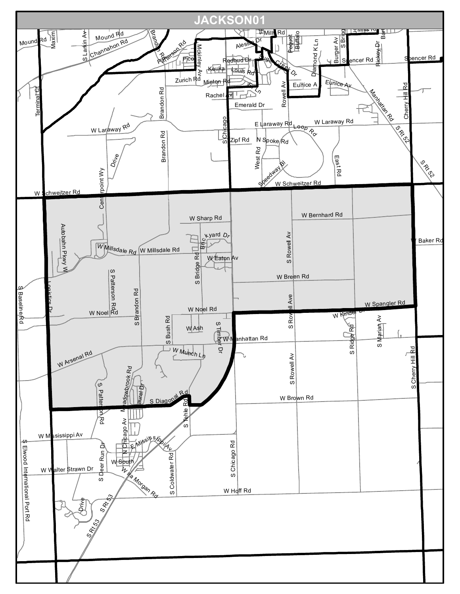